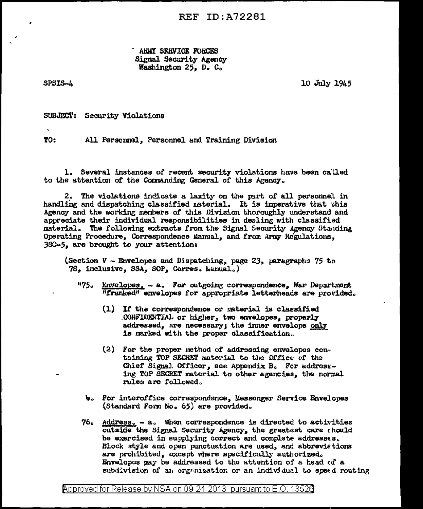ARMY SERVICE FORCES Signal Security Agency Washington 25. D. C.

SPSIS-4

10 July 1945

**SUBJECT:** Security Violations

 $\mathbf{v}$ TO:

All Personnel, Personnel and Training Division

1. Several instances of recent security violations have been called to the attention of the Commanding General of this Agency.

2. The violations indicate a laxity on the part of all personnel in handling and dispatching classified naterial. It is imperative that this Agency and the working members of this Division thoroughly understand and appreciate their individual responsibilities in dealing with classified material. The following extracts from the Signal Security Agency Standing Operating Procedure, Correspondence Manual, and from Army Regulations. 380-5, are brought to your attention:

(Section V - Envelopes and Dispatching, page 23, paragraphs 75 to 78, inclusive, SSA, SOP, Corres. Manual.)

- "75. Envelopes. a. For outgoing correspondence, War Department "franked" envelopes for appropriate letterheads are provided.
	- (1) If the correspondence or material is classified CONFIDENTIAL or higher, two envelopes, properly addressed, are necessary; the inner envelope only is marked with the proper classification.
	- (2) For the proper method of addressing envelopes containing TOP SECRET material to the Office of the Chief Signal Officer, see Appendix B. For addressing TOP SECRET material to other agencies, the normal rules are followed.
	- b. For interoffice correspondence, Messenger Service Envelopes (Standard Form No. 65) are provided.
- 76. Address. a. When correspondence is directed to activities outside the Signal Security Agency, the greatest care rhould be exercised in supplying correct and complete addresses. Block style and open punctuation are used, and abbrevietions are prohibited, except where specifically authorized. Envelopes may be addressed to the attention of a head of a subdivision of an organization or an individual to speed routing